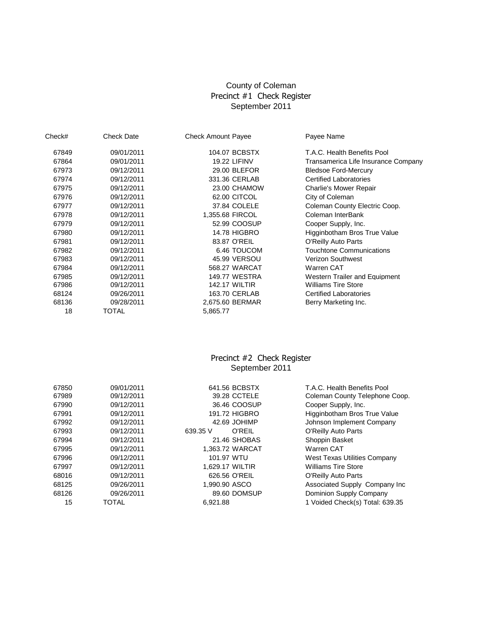## County of Coleman Precinct #1 Check Register September 2011

| Check# | <b>Check Date</b> | <b>Check Amount Payee</b> | Payee Name                          |
|--------|-------------------|---------------------------|-------------------------------------|
| 67849  | 09/01/2011        | 104.07 BCBSTX             | T.A.C. Health Benefits Pool         |
| 67864  | 09/01/2011        | <b>19.22 LIFINV</b>       | Transamerica Life Insurance Company |
| 67973  | 09/12/2011        | 29.00 BLEFOR              | <b>Bledsoe Ford-Mercury</b>         |
| 67974  | 09/12/2011        | 331.36 CERLAB             | <b>Certified Laboratories</b>       |
| 67975  | 09/12/2011        | 23.00 CHAMOW              | <b>Charlie's Mower Repair</b>       |
| 67976  | 09/12/2011        | 62.00 CITCOL              | City of Coleman                     |
| 67977  | 09/12/2011        | 37.84 COLELE              | Coleman County Electric Coop.       |
| 67978  | 09/12/2011        | 1,355.68 FIRCOL           | Coleman InterBank                   |
| 67979  | 09/12/2011        | 52.99 COOSUP              | Cooper Supply, Inc.                 |
| 67980  | 09/12/2011        | <b>14.78 HIGBRO</b>       | Higginbotham Bros True Value        |
| 67981  | 09/12/2011        | 83.87 O'REIL              | O'Reilly Auto Parts                 |
| 67982  | 09/12/2011        | 6.46 TOUCOM               | <b>Touchtone Communications</b>     |
| 67983  | 09/12/2011        | 45.99 VERSOU              | <b>Verizon Southwest</b>            |
| 67984  | 09/12/2011        | 568.27 WARCAT             | Warren CAT                          |
| 67985  | 09/12/2011        | <b>149.77 WESTRA</b>      | Western Trailer and Equipment       |
| 67986  | 09/12/2011        | <b>142.17 WILTIR</b>      | <b>Williams Tire Store</b>          |
| 68124  | 09/26/2011        | 163.70 CERLAB             | <b>Certified Laboratories</b>       |
| 68136  | 09/28/2011        | 2,675.60 BERMAR           | Berry Marketing Inc.                |
| 18     | TOTAL             | 5,865.77                  |                                     |

### September 2011 Precinct #2 Check Register

| 67850 | 09/01/2011 | 641.56 BCBSTX      | T.A.C. Health Benefits Pool         |
|-------|------------|--------------------|-------------------------------------|
| 67989 | 09/12/2011 | 39.28 CCTELE       | Coleman County Telephone Coop.      |
| 67990 | 09/12/2011 | 36.46 COOSUP       | Cooper Supply, Inc.                 |
| 67991 | 09/12/2011 | 191.72 HIGBRO      | Higginbotham Bros True Value        |
| 67992 | 09/12/2011 | 42.69 JOHIMP       | Johnson Implement Company           |
| 67993 | 09/12/2011 | O'REIL<br>639.35 V | O'Reilly Auto Parts                 |
| 67994 | 09/12/2011 | 21.46 SHOBAS       | Shoppin Basket                      |
| 67995 | 09/12/2011 | 1.363.72 WARCAT    | Warren CAT                          |
| 67996 | 09/12/2011 | 101.97 WTU         | <b>West Texas Utilities Company</b> |
| 67997 | 09/12/2011 | 1.629.17 WILTIR    | <b>Williams Tire Store</b>          |
| 68016 | 09/12/2011 | 626.56 O'REIL      | O'Reilly Auto Parts                 |
| 68125 | 09/26/2011 | 1,990.90 ASCO      | Associated Supply Company Inc       |
| 68126 | 09/26/2011 | 89.60 DOMSUP       | Dominion Supply Company             |
| 15    | TOTAL      | 6,921.88           | 1 Voided Check(s) Total: 639.35     |
|       |            |                    |                                     |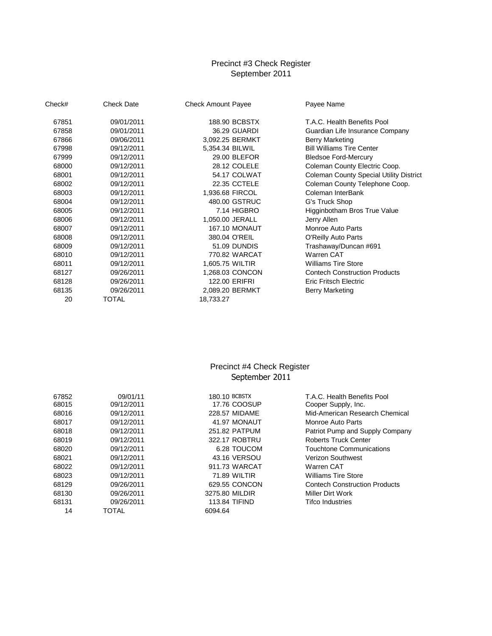# September 2011 Precinct #3 Check Register

| Check# | <b>Check Date</b> | <b>Check Amount Payee</b> | Payee Name                                     |
|--------|-------------------|---------------------------|------------------------------------------------|
| 67851  | 09/01/2011        | 188.90 BCBSTX             | T.A.C. Health Benefits Pool                    |
| 67858  | 09/01/2011        | 36.29 GUARDI              | Guardian Life Insurance Company                |
| 67866  | 09/06/2011        | 3,092.25 BERMKT           | <b>Berry Marketing</b>                         |
| 67998  | 09/12/2011        | 5,354.34 BILWIL           | <b>Bill Williams Tire Center</b>               |
| 67999  | 09/12/2011        | 29.00 BLEFOR              | <b>Bledsoe Ford-Mercury</b>                    |
| 68000  | 09/12/2011        | 28.12 COLELE              | Coleman County Electric Coop.                  |
| 68001  | 09/12/2011        | 54.17 COLWAT              | <b>Coleman County Special Utility District</b> |
| 68002  | 09/12/2011        | 22.35 CCTELE              | Coleman County Telephone Coop.                 |
| 68003  | 09/12/2011        | 1,936.68 FIRCOL           | Coleman InterBank                              |
| 68004  | 09/12/2011        | 480.00 GSTRUC             | G's Truck Shop                                 |
| 68005  | 09/12/2011        | 7.14 HIGBRO               | Higginbotham Bros True Value                   |
| 68006  | 09/12/2011        | 1,050.00 JERALL           | Jerry Allen                                    |
| 68007  | 09/12/2011        | <b>167.10 MONAUT</b>      | Monroe Auto Parts                              |
| 68008  | 09/12/2011        | 380.04 O'REIL             | O'Reilly Auto Parts                            |
| 68009  | 09/12/2011        | 51.09 DUNDIS              | Trashaway/Duncan #691                          |
| 68010  | 09/12/2011        | 770.82 WARCAT             | Warren CAT                                     |
| 68011  | 09/12/2011        | 1,605.75 WILTIR           | <b>Williams Tire Store</b>                     |
| 68127  | 09/26/2011        | 1,268.03 CONCON           | <b>Contech Construction Products</b>           |
| 68128  | 09/26/2011        | 122.00 ERIFRI             | <b>Eric Fritsch Electric</b>                   |
| 68135  | 09/26/2011        | 2,089.20 BERMKT           | Berry Marketing                                |
| 20     | <b>TOTAL</b>      | 18,733.27                 |                                                |

## Precinct #4 Check Register September 2011

| 67852 | 09/01/11   | 180.10 BCBSTX        | T.A.C. Health Benefits Pool          |
|-------|------------|----------------------|--------------------------------------|
| 68015 | 09/12/2011 | 17.76 COOSUP         | Cooper Supply, Inc.                  |
| 68016 | 09/12/2011 | 228.57 MIDAME        | Mid-American Research Chemical       |
| 68017 | 09/12/2011 | 41.97 MONAUT         | Monroe Auto Parts                    |
| 68018 | 09/12/2011 | 251.82 PATPUM        | Patriot Pump and Supply Company      |
| 68019 | 09/12/2011 | 322.17 ROBTRU        | Roberts Truck Center                 |
| 68020 | 09/12/2011 | 6.28 TOUCOM          | Touchtone Communications             |
| 68021 | 09/12/2011 | 43.16 VERSOU         | <b>Verizon Southwest</b>             |
| 68022 | 09/12/2011 | 911.73 WARCAT        | Warren CAT                           |
| 68023 | 09/12/2011 | 71.89 WILTIR         | <b>Williams Tire Store</b>           |
| 68129 | 09/26/2011 | 629.55 CONCON        | <b>Contech Construction Products</b> |
| 68130 | 09/26/2011 | 3275.80 MILDIR       | Miller Dirt Work                     |
| 68131 | 09/26/2011 | <b>113.84 TIFIND</b> | <b>Tifco Industries</b>              |
| 14    | TOTAL      | 6094.64              |                                      |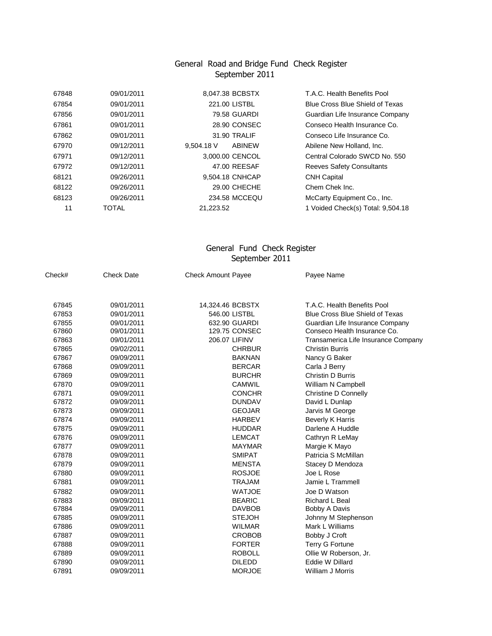#### General Road and Bridge Fund Check Register September 2011

| 67848 | 09/01/2011   | 8,047.38 BCBSTX        | T.A.C. Health Benefits Pool       |
|-------|--------------|------------------------|-----------------------------------|
| 67854 | 09/01/2011   | 221.00 LISTBL          | Blue Cross Blue Shield of Texas   |
| 67856 | 09/01/2011   | 79.58 GUARDI           | Guardian Life Insurance Company   |
| 67861 | 09/01/2011   | 28.90 CONSEC           | Conseco Health Insurance Co.      |
| 67862 | 09/01/2011   | 31.90 TRALIF           | Conseco Life Insurance Co.        |
| 67970 | 09/12/2011   | $9.504.18$ V<br>ABINEW | Abilene New Holland, Inc.         |
| 67971 | 09/12/2011   | 3.000.00 CENCOL        | Central Colorado SWCD No. 550     |
| 67972 | 09/12/2011   | 47.00 REESAF           | <b>Reeves Safety Consultants</b>  |
| 68121 | 09/26/2011   | 9,504.18 CNHCAP        | <b>CNH Capital</b>                |
| 68122 | 09/26/2011   | 29.00 CHECHE           | Chem Chek Inc.                    |
| 68123 | 09/26/2011   | 234.58 MCCEQU          | McCarty Equipment Co., Inc.       |
| 11    | <b>TOTAL</b> | 21,223.52              | 1 Voided Check(s) Total: 9,504.18 |
|       |              |                        |                                   |

#### General Fund Check Register September 2011

| Check# | <b>Check Date</b> | <b>Check Amount Payee</b> | Payee Name                             |
|--------|-------------------|---------------------------|----------------------------------------|
| 67845  | 09/01/2011        | 14,324.46 BCBSTX          | T.A.C. Health Benefits Pool            |
| 67853  | 09/01/2011        | 546.00 LISTBL             | <b>Blue Cross Blue Shield of Texas</b> |
| 67855  | 09/01/2011        | 632.90 GUARDI             | Guardian Life Insurance Company        |
| 67860  | 09/01/2011        | 129.75 CONSEC             | Conseco Health Insurance Co.           |
| 67863  | 09/01/2011        | 206.07 LIFINV             | Transamerica Life Insurance Company    |
| 67865  | 09/02/2011        | <b>CHRBUR</b>             | <b>Christin Burris</b>                 |
| 67867  | 09/09/2011        | <b>BAKNAN</b>             | Nancy G Baker                          |
| 67868  | 09/09/2011        | <b>BERCAR</b>             | Carla J Berry                          |
| 67869  | 09/09/2011        | <b>BURCHR</b>             | Christin D Burris                      |
| 67870  | 09/09/2011        | <b>CAMWIL</b>             | William N Campbell                     |
| 67871  | 09/09/2011        | <b>CONCHR</b>             | Christine D Connelly                   |
| 67872  | 09/09/2011        | <b>DUNDAV</b>             | David L Dunlap                         |
| 67873  | 09/09/2011        | <b>GEOJAR</b>             | Jarvis M George                        |
| 67874  | 09/09/2011        | <b>HARBEV</b>             | <b>Beverly K Harris</b>                |
| 67875  | 09/09/2011        | <b>HUDDAR</b>             | Darlene A Huddle                       |
| 67876  | 09/09/2011        | <b>LEMCAT</b>             | Cathryn R LeMay                        |
| 67877  | 09/09/2011        | <b>MAYMAR</b>             | Margie K Mayo                          |
| 67878  | 09/09/2011        | <b>SMIPAT</b>             | Patricia S McMillan                    |
| 67879  | 09/09/2011        | <b>MENSTA</b>             | Stacey D Mendoza                       |
| 67880  | 09/09/2011        | <b>ROSJOE</b>             | Joe L Rose                             |
| 67881  | 09/09/2011        | <b>TRAJAM</b>             | Jamie L Trammell                       |
| 67882  | 09/09/2011        | <b>WATJOE</b>             | Joe D Watson                           |
| 67883  | 09/09/2011        | <b>BEARIC</b>             | Richard L Beal                         |
| 67884  | 09/09/2011        | <b>DAVBOB</b>             | Bobby A Davis                          |
| 67885  | 09/09/2011        | <b>STEJOH</b>             | Johnny M Stephenson                    |
| 67886  | 09/09/2011        | <b>WILMAR</b>             | Mark L Williams                        |
| 67887  | 09/09/2011        | <b>CROBOB</b>             | Bobby J Croft                          |
| 67888  | 09/09/2011        | <b>FORTER</b>             | <b>Terry G Fortune</b>                 |
| 67889  | 09/09/2011        | <b>ROBOLL</b>             | Ollie W Roberson, Jr.                  |
| 67890  | 09/09/2011        | <b>DILEDD</b>             | Eddie W Dillard                        |
| 67891  | 09/09/2011        | <b>MORJOE</b>             | William J Morris                       |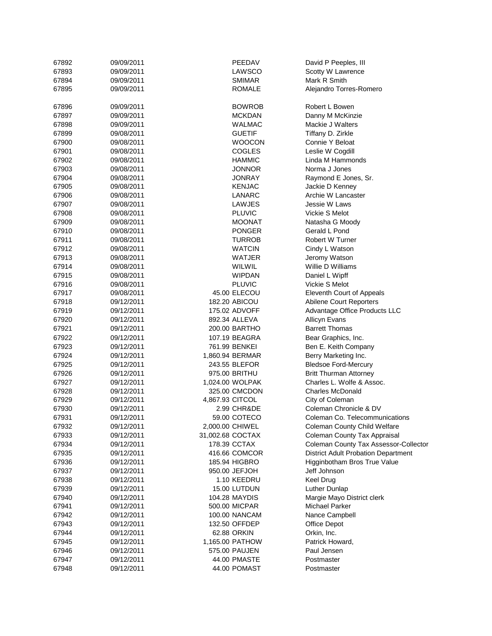| 67892 | 09/09/2011 | PEEDAV           | David P Peeples, III                       |
|-------|------------|------------------|--------------------------------------------|
| 67893 | 09/09/2011 | LAWSCO           | Scotty W Lawrence                          |
| 67894 | 09/09/2011 | <b>SMIMAR</b>    | Mark R Smith                               |
| 67895 | 09/09/2011 | <b>ROMALE</b>    | Alejandro Torres-Romero                    |
| 67896 | 09/09/2011 | <b>BOWROB</b>    | Robert L Bowen                             |
| 67897 | 09/09/2011 | <b>MCKDAN</b>    | Danny M McKinzie                           |
| 67898 | 09/09/2011 | <b>WALMAC</b>    | Mackie J Walters                           |
| 67899 | 09/08/2011 | <b>GUETIF</b>    | Tiffany D. Zirkle                          |
| 67900 | 09/08/2011 | <b>WOOCON</b>    | Connie Y Beloat                            |
| 67901 | 09/08/2011 | <b>COGLES</b>    | Leslie W Cogdill                           |
| 67902 | 09/08/2011 | <b>HAMMIC</b>    | Linda M Hammonds                           |
| 67903 | 09/08/2011 | <b>JONNOR</b>    | Norma J Jones                              |
| 67904 | 09/08/2011 | <b>JONRAY</b>    | Raymond E Jones, Sr.                       |
| 67905 | 09/08/2011 | <b>KENJAC</b>    | Jackie D Kenney                            |
| 67906 | 09/08/2011 | LANARC           | Archie W Lancaster                         |
|       |            |                  | Jessie W Laws                              |
| 67907 | 09/08/2011 | LAWJES           |                                            |
| 67908 | 09/08/2011 | <b>PLUVIC</b>    | Vickie S Melot                             |
| 67909 | 09/08/2011 | <b>MOONAT</b>    | Natasha G Moody                            |
| 67910 | 09/08/2011 | PONGER           | Gerald L Pond                              |
| 67911 | 09/08/2011 | <b>TURROB</b>    | Robert W Turner                            |
| 67912 | 09/08/2011 | <b>WATCIN</b>    | Cindy L Watson                             |
| 67913 | 09/08/2011 | WATJER           | Jeromy Watson                              |
| 67914 | 09/08/2011 | WILWIL           | Willie D Williams                          |
| 67915 | 09/08/2011 | <b>WIPDAN</b>    | Daniel L Wipff                             |
| 67916 | 09/08/2011 | <b>PLUVIC</b>    | Vickie S Melot                             |
| 67917 | 09/08/2011 | 45.00 ELECOU     | Eleventh Court of Appeals                  |
| 67918 | 09/12/2011 | 182.20 ABICOU    | Abilene Court Reporters                    |
| 67919 | 09/12/2011 | 175.02 ADVOFF    | Advantage Office Products LLC              |
| 67920 | 09/12/2011 | 892.34 ALLEVA    | <b>Allicyn Evans</b>                       |
| 67921 | 09/12/2011 | 200.00 BARTHO    | <b>Barrett Thomas</b>                      |
| 67922 | 09/12/2011 | 107.19 BEAGRA    | Bear Graphics, Inc.                        |
| 67923 | 09/12/2011 | 761.99 BENKEI    | Ben E. Keith Company                       |
| 67924 | 09/12/2011 | 1,860.94 BERMAR  | Berry Marketing Inc.                       |
| 67925 | 09/12/2011 | 243.55 BLEFOR    | <b>Bledsoe Ford-Mercury</b>                |
| 67926 | 09/12/2011 | 975.00 BRITHU    | <b>Britt Thurman Attorney</b>              |
| 67927 | 09/12/2011 | 1,024.00 WOLPAK  | Charles L. Wolfe & Assoc.                  |
| 67928 | 09/12/2011 | 325.00 CMCDON    | <b>Charles McDonald</b>                    |
| 67929 | 09/12/2011 | 4,867.93 CITCOL  | City of Coleman                            |
| 67930 | 09/12/2011 | 2.99 CHR&DE      | Coleman Chronicle & DV                     |
| 67931 | 09/12/2011 | 59.00 COTECO     | Coleman Co. Telecommunications             |
| 67932 | 09/12/2011 | 2,000.00 CHIWEL  | Coleman County Child Welfare               |
| 67933 | 09/12/2011 | 31,002.68 COCTAX | Coleman County Tax Appraisal               |
| 67934 | 09/12/2011 | 178.39 CCTAX     | Coleman County Tax Assessor-Collector      |
| 67935 | 09/12/2011 | 416.66 COMCOR    | <b>District Adult Probation Department</b> |
| 67936 | 09/12/2011 | 185.94 HIGBRO    | Higginbotham Bros True Value               |
| 67937 | 09/12/2011 | 950.00 JEFJOH    | Jeff Johnson                               |
| 67938 | 09/12/2011 | 1.10 KEEDRU      | <b>Keel Drug</b>                           |
|       |            |                  | Luther Dunlap                              |
| 67939 | 09/12/2011 | 15.00 LUTDUN     |                                            |
| 67940 | 09/12/2011 | 104.28 MAYDIS    | Margie Mayo District clerk                 |
| 67941 | 09/12/2011 | 500.00 MICPAR    | <b>Michael Parker</b>                      |
| 67942 | 09/12/2011 | 100.00 NANCAM    | Nance Campbell                             |
| 67943 | 09/12/2011 | 132.50 OFFDEP    | Office Depot                               |
| 67944 | 09/12/2011 | 62.88 ORKIN      | Orkin, Inc.                                |
| 67945 | 09/12/2011 | 1,165.00 PATHOW  | Patrick Howard,                            |
| 67946 | 09/12/2011 | 575.00 PAUJEN    | Paul Jensen                                |
| 67947 | 09/12/2011 | 44.00 PMASTE     | Postmaster                                 |
| 67948 | 09/12/2011 | 44.00 POMAST     | Postmaster                                 |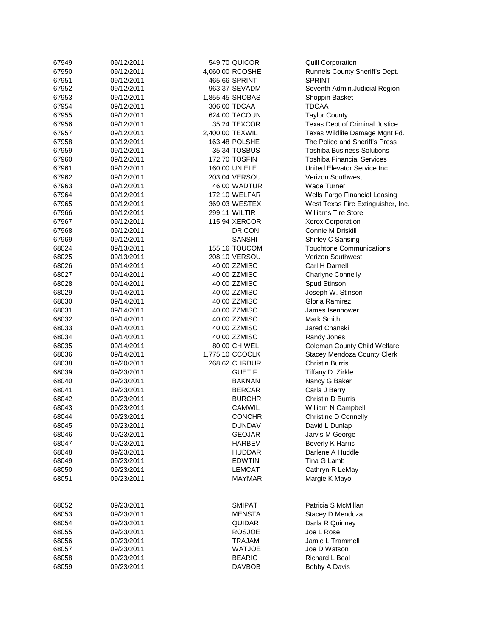| 67949 | 09/12/2011 | 549.70 QUICOR                  | <b>Quill Corporation</b>           |
|-------|------------|--------------------------------|------------------------------------|
| 67950 | 09/12/2011 | 4,060.00 RCOSHE                | Runnels County Sheriff's Dept.     |
| 67951 | 09/12/2011 | 465.66 SPRINT                  | <b>SPRINT</b>                      |
| 67952 | 09/12/2011 | 963.37 SEVADM                  | Seventh Admin.Judicial Region      |
| 67953 | 09/12/2011 | 1,855.45 SHOBAS                | Shoppin Basket                     |
| 67954 | 09/12/2011 | 306.00 TDCAA                   | <b>TDCAA</b>                       |
| 67955 | 09/12/2011 | 624.00 TACOUN                  | <b>Taylor County</b>               |
| 67956 | 09/12/2011 | 35.24 TEXCOR                   | Texas Dept.of Criminal Justice     |
| 67957 | 09/12/2011 | 2,400.00 TEXWIL                | Texas Wildlife Damage Mgnt Fd.     |
| 67958 | 09/12/2011 | 163.48 POLSHE                  | The Police and Sheriff's Press     |
| 67959 | 09/12/2011 | 35.34 TOSBUS                   | <b>Toshiba Business Solutions</b>  |
| 67960 | 09/12/2011 | 172.70 TOSFIN                  | <b>Toshiba Financial Services</b>  |
| 67961 | 09/12/2011 | 160.00 UNIELE                  | United Elevator Service Inc        |
| 67962 | 09/12/2011 | 203.04 VERSOU                  | <b>Verizon Southwest</b>           |
| 67963 | 09/12/2011 | 46.00 WADTUR                   | <b>Wade Turner</b>                 |
| 67964 | 09/12/2011 | 172.10 WELFAR                  | Wells Fargo Financial Leasing      |
|       |            |                                |                                    |
| 67965 | 09/12/2011 | 369.03 WESTEX                  | West Texas Fire Extinguisher, Inc. |
| 67966 | 09/12/2011 | 299.11 WILTIR                  | <b>Williams Tire Store</b>         |
| 67967 | 09/12/2011 | 115.94 XERCOR                  | Xerox Corporation                  |
| 67968 | 09/12/2011 | <b>DRICON</b>                  | Connie M Driskill                  |
| 67969 | 09/12/2011 | SANSHI                         | Shirley C Sansing                  |
| 68024 | 09/13/2011 | 155.16 TOUCOM                  | <b>Touchtone Communications</b>    |
| 68025 | 09/13/2011 | 208.10 VERSOU                  | <b>Verizon Southwest</b>           |
| 68026 | 09/14/2011 | 40.00 ZZMISC                   | Carl H Darnell                     |
| 68027 | 09/14/2011 | 40.00 ZZMISC                   | <b>Charlyne Connelly</b>           |
| 68028 | 09/14/2011 | 40.00 ZZMISC                   | Spud Stinson                       |
| 68029 | 09/14/2011 | 40.00 ZZMISC                   | Joseph W. Stinson                  |
| 68030 | 09/14/2011 | 40.00 ZZMISC                   | Gloria Ramirez                     |
| 68031 | 09/14/2011 | 40.00 ZZMISC                   | James Isenhower                    |
| 68032 | 09/14/2011 | 40.00 ZZMISC                   | Mark Smith                         |
| 68033 | 09/14/2011 | 40.00 ZZMISC                   | Jared Chanski                      |
| 68034 | 09/14/2011 | 40.00 ZZMISC                   | Randy Jones                        |
| 68035 | 09/14/2011 | 80.00 CHIWEL                   | Coleman County Child Welfare       |
| 68036 | 09/14/2011 | 1,775.10 CCOCLK                | <b>Stacey Mendoza County Clerk</b> |
| 68038 | 09/20/2011 | 268.62 CHRBUR                  | <b>Christin Burris</b>             |
| 68039 | 09/23/2011 | <b>GUETIF</b>                  | Tiffany D. Zirkle                  |
| 68040 | 09/23/2011 | <b>BAKNAN</b>                  | Nancy G Baker                      |
| 68041 | 09/23/2011 | <b>BERCAR</b>                  | Carla J Berry                      |
| 68042 | 09/23/2011 | <b>BURCHR</b>                  | Christin D Burris                  |
| 68043 | 09/23/2011 | CAMWIL                         | William N Campbell                 |
|       | 09/23/2011 |                                | Christine D Connelly               |
| 68044 |            | <b>CONCHR</b><br><b>DUNDAV</b> |                                    |
| 68045 | 09/23/2011 |                                | David L Dunlap                     |
| 68046 | 09/23/2011 | <b>GEOJAR</b>                  | Jarvis M George                    |
| 68047 | 09/23/2011 | <b>HARBEV</b>                  | <b>Beverly K Harris</b>            |
| 68048 | 09/23/2011 | <b>HUDDAR</b>                  | Darlene A Huddle                   |
| 68049 | 09/23/2011 | <b>EDWTIN</b>                  | Tina G Lamb                        |
| 68050 | 09/23/2011 | <b>LEMCAT</b>                  | Cathryn R LeMay                    |
| 68051 | 09/23/2011 | MAYMAR                         | Margie K Mayo                      |
| 68052 | 09/23/2011 | <b>SMIPAT</b>                  | Patricia S McMillan                |
| 68053 | 09/23/2011 | <b>MENSTA</b>                  | Stacey D Mendoza                   |
| 68054 | 09/23/2011 | <b>QUIDAR</b>                  | Darla R Quinney                    |
| 68055 | 09/23/2011 | <b>ROSJOE</b>                  | Joe L Rose                         |
|       | 09/23/2011 | <b>TRAJAM</b>                  | Jamie L Trammell                   |
| 68056 |            | <b>WATJOE</b>                  | Joe D Watson                       |
| 68057 | 09/23/2011 |                                | Richard L Beal                     |
| 68058 | 09/23/2011 | <b>BEARIC</b>                  |                                    |
| 68059 | 09/23/2011 | <b>DAVBOB</b>                  | Bobby A Davis                      |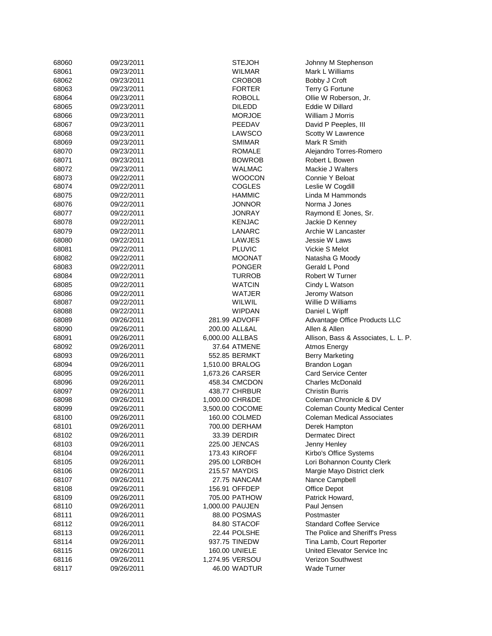| 68060 | 09/23/2011 | <b>STEJOH</b>   | Johnny M Stephenson                  |
|-------|------------|-----------------|--------------------------------------|
| 68061 | 09/23/2011 | <b>WILMAR</b>   | Mark L Williams                      |
| 68062 | 09/23/2011 | <b>CROBOB</b>   | Bobby J Croft                        |
| 68063 | 09/23/2011 | <b>FORTER</b>   | <b>Terry G Fortune</b>               |
| 68064 | 09/23/2011 | <b>ROBOLL</b>   | Ollie W Roberson, Jr.                |
| 68065 | 09/23/2011 | <b>DILEDD</b>   | Eddie W Dillard                      |
| 68066 | 09/23/2011 | <b>MORJOE</b>   | William J Morris                     |
| 68067 | 09/23/2011 | PEEDAV          | David P Peeples, III                 |
| 68068 | 09/23/2011 | LAWSCO          | Scotty W Lawrence                    |
| 68069 | 09/23/2011 | <b>SMIMAR</b>   | Mark R Smith                         |
| 68070 | 09/23/2011 | <b>ROMALE</b>   | Alejandro Torres-Romero              |
| 68071 | 09/23/2011 | <b>BOWROB</b>   | Robert L Bowen                       |
| 68072 | 09/23/2011 | WALMAC          | Mackie J Walters                     |
| 68073 | 09/22/2011 | <b>WOOCON</b>   | Connie Y Beloat                      |
| 68074 | 09/22/2011 | <b>COGLES</b>   | Leslie W Cogdill                     |
| 68075 | 09/22/2011 | HAMMIC          | Linda M Hammonds                     |
| 68076 | 09/22/2011 | JONNOR          | Norma J Jones                        |
|       |            | <b>JONRAY</b>   |                                      |
| 68077 | 09/22/2011 |                 | Raymond E Jones, Sr.                 |
| 68078 | 09/22/2011 | <b>KENJAC</b>   | Jackie D Kenney                      |
| 68079 | 09/22/2011 | LANARC          | Archie W Lancaster                   |
| 68080 | 09/22/2011 | LAWJES          | Jessie W Laws                        |
| 68081 | 09/22/2011 | <b>PLUVIC</b>   | Vickie S Melot                       |
| 68082 | 09/22/2011 | <b>MOONAT</b>   | Natasha G Moody                      |
| 68083 | 09/22/2011 | <b>PONGER</b>   | Gerald L Pond                        |
| 68084 | 09/22/2011 | <b>TURROB</b>   | Robert W Turner                      |
| 68085 | 09/22/2011 | <b>WATCIN</b>   | Cindy L Watson                       |
| 68086 | 09/22/2011 | WATJER          | Jeromy Watson                        |
| 68087 | 09/22/2011 | WILWIL          | Willie D Williams                    |
| 68088 | 09/22/2011 | <b>WIPDAN</b>   | Daniel L Wipff                       |
| 68089 | 09/26/2011 | 281.99 ADVOFF   | Advantage Office Products LLC        |
| 68090 | 09/26/2011 | 200.00 ALL&AL   | Allen & Allen                        |
| 68091 | 09/26/2011 | 6,000.00 ALLBAS | Allison, Bass & Associates, L. L. P. |
| 68092 | 09/26/2011 | 37.64 ATMENE    | Atmos Energy                         |
| 68093 | 09/26/2011 | 552.85 BERMKT   | <b>Berry Marketing</b>               |
| 68094 | 09/26/2011 | 1,510.00 BRALOG | <b>Brandon Logan</b>                 |
| 68095 | 09/26/2011 | 1,673.26 CARSER | <b>Card Service Center</b>           |
| 68096 | 09/26/2011 | 458.34 CMCDON   | <b>Charles McDonald</b>              |
| 68097 | 09/26/2011 | 438.77 CHRBUR   | Christin Burris                      |
| 68098 | 09/26/2011 | 1,000.00 CHR&DE | Coleman Chronicle & DV               |
| 68099 | 09/26/2011 | 3,500.00 COCOME | <b>Coleman County Medical Center</b> |
| 68100 | 09/26/2011 | 160.00 COLMED   | <b>Coleman Medical Associates</b>    |
| 68101 | 09/26/2011 | 700.00 DERHAM   | Derek Hampton                        |
| 68102 | 09/26/2011 | 33.39 DERDIR    | <b>Dermatec Direct</b>               |
| 68103 | 09/26/2011 | 225.00 JENCAS   | Jenny Henley                         |
| 68104 | 09/26/2011 | 173.43 KIROFF   | Kirbo's Office Systems               |
| 68105 | 09/26/2011 | 295.00 LORBOH   | Lori Bohannon County Clerk           |
| 68106 | 09/26/2011 | 215.57 MAYDIS   | Margie Mayo District clerk           |
| 68107 | 09/26/2011 | 27.75 NANCAM    | Nance Campbell                       |
| 68108 | 09/26/2011 | 156.91 OFFDEP   | Office Depot                         |
| 68109 | 09/26/2011 | 705.00 PATHOW   | Patrick Howard,                      |
| 68110 | 09/26/2011 | 1,000.00 PAUJEN | Paul Jensen                          |
| 68111 | 09/26/2011 | 88.00 POSMAS    | Postmaster                           |
|       |            | 84.80 STACOF    | <b>Standard Coffee Service</b>       |
| 68112 | 09/26/2011 |                 | The Police and Sheriff's Press       |
| 68113 | 09/26/2011 | 22.44 POLSHE    |                                      |
| 68114 | 09/26/2011 | 937.75 TINEDW   | Tina Lamb, Court Reporter            |
| 68115 | 09/26/2011 | 160.00 UNIELE   | United Elevator Service Inc          |
| 68116 | 09/26/2011 | 1,274.95 VERSOU | Verizon Southwest                    |
| 68117 | 09/26/2011 | 46.00 WADTUR    | Wade Turner                          |